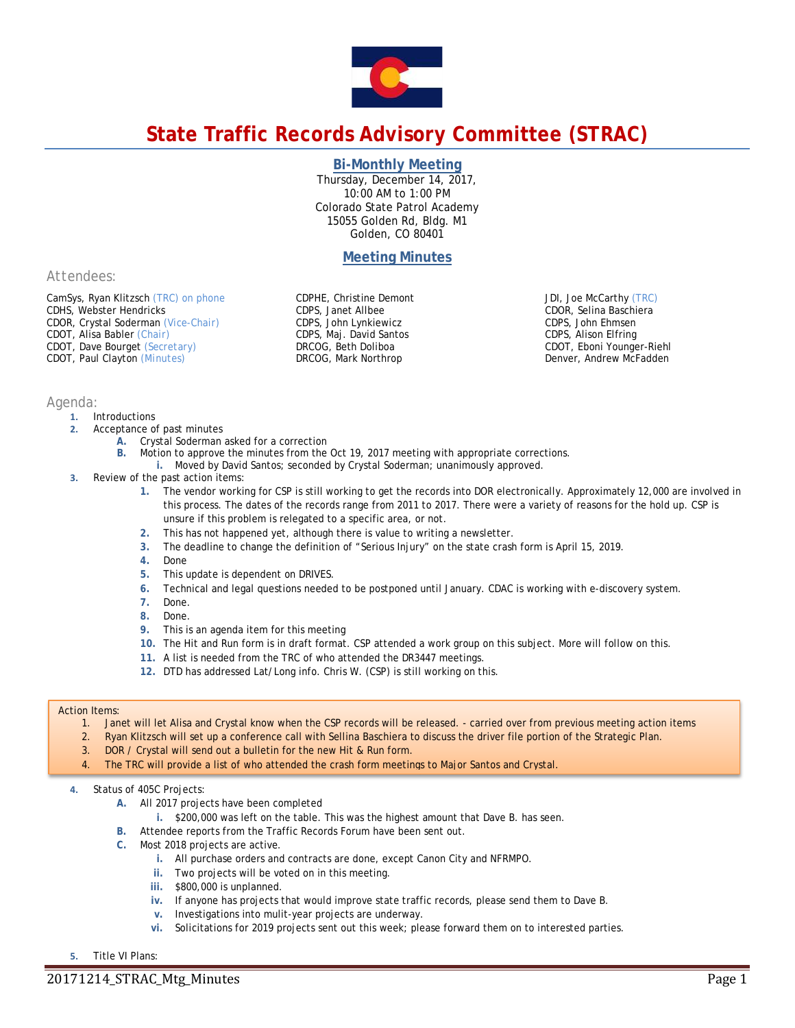

# **State Traffic Records Advisory Committee (STRAC)**

## **Bi-Monthly Meeting**

Thursday, December 14, 2017, 10:00 AM to 1:00 PM Colorado State Patrol Academy 15055 Golden Rd, Bldg. M1 Golden, CO 80401

# **Meeting Minutes**

*Attendees:*

CamSys, Ryan Klitzsch *(TRC) on phone* CDHS, Webster Hendricks CDOR, Crystal Soderman *(Vice-Chair)* CDOT, Alisa Babler *(Chair)* CDOT, Dave Bourget *(Secretary)* CDOT, Paul Clayton *(Minutes)*

CDPHE, Christine Demont CDPS, Janet Allbee CDPS, John Lynkiewicz CDPS, Maj. David Santos DRCOG, Beth Doliboa DRCOG, Mark Northrop

JDI, Joe McCarthy *(TRC)* CDOR, Selina Baschiera CDPS, John Ehmsen CDPS, Alison Elfring CDOT, Eboni Younger-Riehl Denver, Andrew McFadden

## *Agenda:*

- **1.** Introductions
- **2.** Acceptance of past minutes
	- **A.** Crystal Soderman asked for a correction
		- **B.** Motion to approve the minutes from the Oct 19, 2017 meeting with appropriate corrections.
	- **i.** Moved by David Santos; seconded by Crystal Soderman; unanimously approved.
- **3.** Review of the past action items:
	- **1.** The vendor working for CSP is still working to get the records into DOR electronically. Approximately 12,000 are involved in this process. The dates of the records range from 2011 to 2017. There were a variety of reasons for the hold up. CSP is unsure if this problem is relegated to a specific area, or not.
	- **2.** This has not happened yet, although there is value to writing a newsletter.
	- **3.** The deadline to change the definition of "Serious Injury" on the state crash form is April 15, 2019.
	- **4.** Done
	-
	- **5.** This update is dependent on DRIVES. **6.** Technical and legal questions needed to be postponed until January. CDAC is working with e-discovery system.
	- **7.** Done.
	- **8.** Done.
	- **9.** This is an agenda item for this meeting
	- **10.** The Hit and Run form is in draft format. CSP attended a work group on this subject. More will follow on this.
	- **11.** A list is needed from the TRC of who attended the DR3447 meetings.
	- **12.** DTD has addressed Lat/Long info. Chris W. (CSP) is still working on this.

#### Action Items:

- 1. Janet will let Alisa and Crystal know when the CSP records will be released. carried over from previous meeting action items
- 2. Ryan Klitzsch will set up a conference call with Sellina Baschiera to discuss the driver file portion of the Strategic Plan.
- 3. DOR / Crystal will send out a bulletin for the new Hit & Run form.
- 4. The TRC will provide a list of who attended the crash form meetings to Major Santos and Crystal.

# **4.** Status of 405C Projects:

- **A.** All 2017 projects have been completed
	- **i.** \$200,000 was left on the table. This was the highest amount that Dave B. has seen.
- **B.** Attendee reports from the Traffic Records Forum have been sent out.
- **C.** Most 2018 projects are active.
	- **i.** All purchase orders and contracts are done, except Canon City and NFRMPO.
	- **ii.** Two projects will be voted on in this meeting.
	- **iii.** \$800,000 is unplanned.
	- **iv.** If anyone has projects that would improve state traffic records, please send them to Dave B.
	- **v.** Investigations into mulit-year projects are underway.
	- **vi.** Solicitations for 2019 projects sent out this week; please forward them on to interested parties.

**5.** Title VI Plans: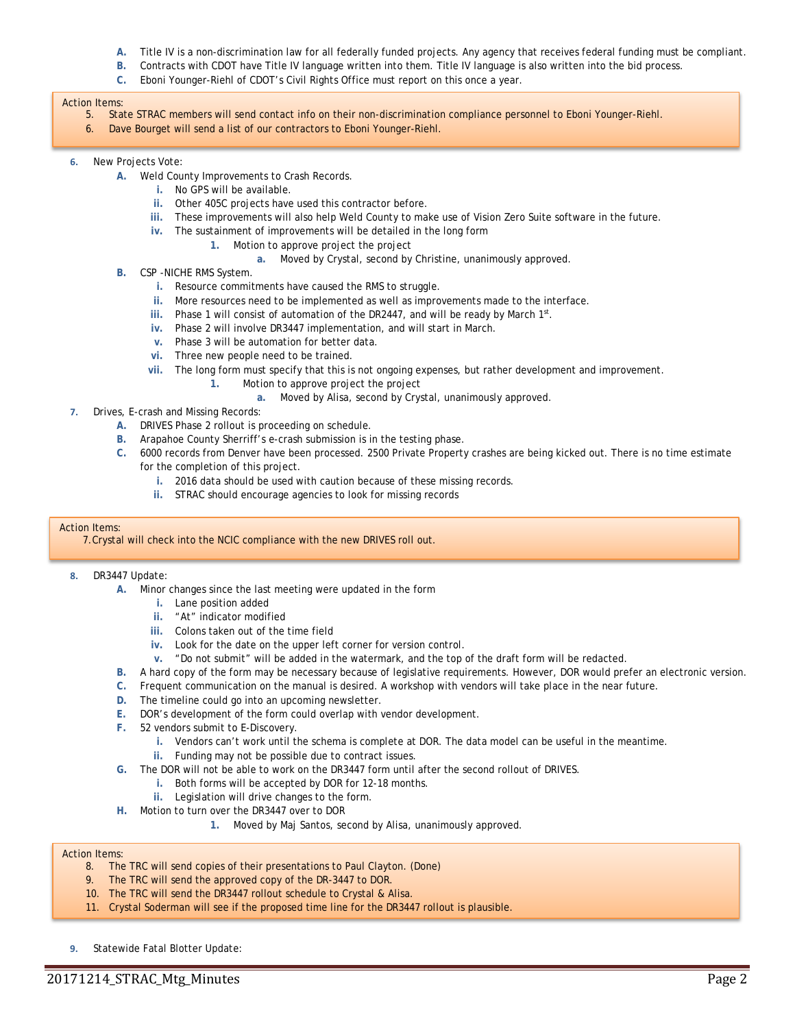- **A.** Title IV is a non-discrimination law for all federally funded projects. Any agency that receives federal funding must be compliant.
- **B.** Contracts with CDOT have Title IV language written into them. Title IV language is also written into the bid process.
- **C.** Eboni Younger-Riehl of CDOT's Civil Rights Office must report on this once a year.

#### Action Items:

- 5. State STRAC members will send contact info on their non-discrimination compliance personnel to Eboni Younger-Riehl.
- 6. Dave Bourget will send a list of our contractors to Eboni Younger-Riehl.
- **6.** New Projects Vote:
	- **A.** Weld County Improvements to Crash Records.
		- **i.** No GPS will be available.
		- **ii.** Other 405C projects have used this contractor before.
		- **iii.** These improvements will also help Weld County to make use of Vision Zero Suite software in the future.
		- **iv.** The sustainment of improvements will be detailed in the long form
			- **1.** Motion to approve project the project
				- **a.** Moved by Crystal, second by Christine, unanimously approved.
	- **B.** CSP -NICHE RMS System.
		- **i.** Resource commitments have caused the RMS to struggle.
		- **ii.** More resources need to be implemented as well as improvements made to the interface.
		- iii. Phase 1 will consist of automation of the DR2447, and will be ready by March 1st.
		- **iv.** Phase 2 will involve DR3447 implementation, and will start in March.
		- **v.** Phase 3 will be automation for better data.
		- **vi.** Three new people need to be trained.
		- **vii.** The long form must specify that this is not ongoing expenses, but rather development and improvement.
			- **1.** Motion to approve project the project
				- **a.** Moved by Alisa, second by Crystal, unanimously approved.
- **7.** Drives, E-crash and Missing Records:
	- **A.** DRIVES Phase 2 rollout is proceeding on schedule.
	- **B.** Arapahoe County Sherriff's e-crash submission is in the testing phase.
	- **C.** 6000 records from Denver have been processed. 2500 Private Property crashes are being kicked out. There is no time estimate for the completion of this project.
		- **i.** 2016 data should be used with caution because of these missing records.
		- **ii.** STRAC should encourage agencies to look for missing records

#### Action Items:

7.Crystal will check into the NCIC compliance with the new DRIVES roll out.

#### **8.** DR3447 Update:

- **A.** Minor changes since the last meeting were updated in the form
	- **i.** Lane position added
	- **ii.** "At" indicator modified
	- **iii.** Colons taken out of the time field
	- **iv.** Look for the date on the upper left corner for version control.
	- **v.** "Do not submit" will be added in the watermark, and the top of the draft form will be redacted.
- **B.** A hard copy of the form may be necessary because of legislative requirements. However, DOR would prefer an electronic version.
- **C.** Frequent communication on the manual is desired. A workshop with vendors will take place in the near future.
- **D.** The timeline could go into an upcoming newsletter.
- **E.** DOR's development of the form could overlap with vendor development.
- **F.** 52 vendors submit to E-Discovery.
	- **i.** Vendors can't work until the schema is complete at DOR. The data model can be useful in the meantime.
	- **ii.** Funding may not be possible due to contract issues.
- **G.** The DOR will not be able to work on the DR3447 form until after the second rollout of DRIVES.
	- **i.** Both forms will be accepted by DOR for 12-18 months.
	- **ii.** Legislation will drive changes to the form.
- **H.** Motion to turn over the DR3447 over to DOR
	- **1.** Moved by Maj Santos, second by Alisa, unanimously approved.

#### Action Items:

- 8. The TRC will send copies of their presentations to Paul Clayton. (Done)
- 9. The TRC will send the approved copy of the DR-3447 to DOR.
- 10. The TRC will send the DR3447 rollout schedule to Crystal & Alisa.
- 11. Crystal Soderman will see if the proposed time line for the DR3447 rollout is plausible.
- **9.** Statewide Fatal Blotter Update: